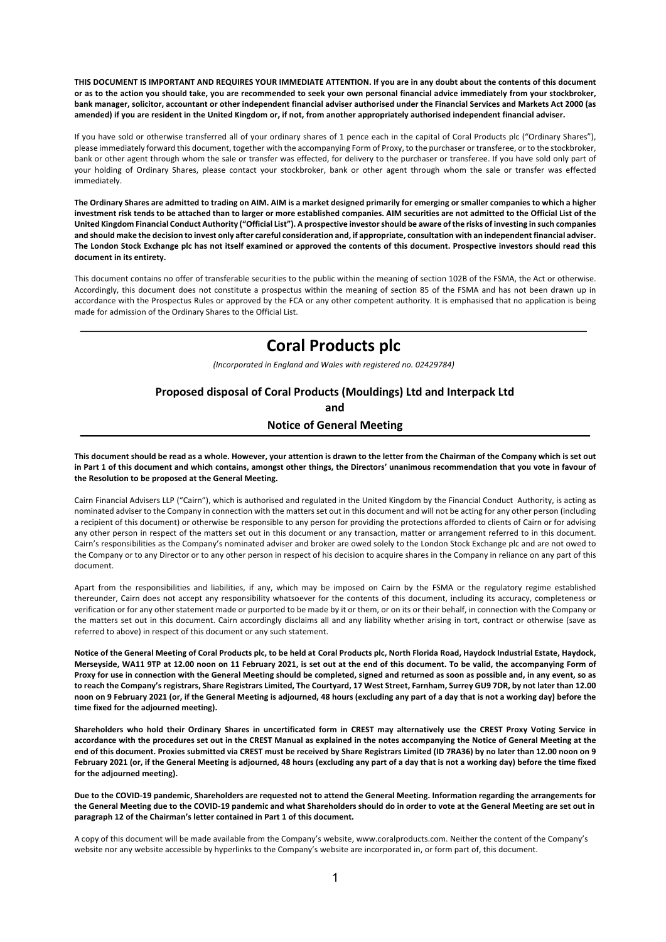**THIS DOCUMENT IS IMPORTANT AND REQUIRES YOUR IMMEDIATE ATTENTION. If you are in any doubt about the contents of this document or as to the action you should take, you are recommended to seek your own personal financial advice immediately from your stockbroker, bank manager, solicitor, accountant or other independent financial adviser authorised under the Financial Services and Markets Act 2000 (as amended) if you are resident in the United Kingdom or, if not, from another appropriately authorised independent financial adviser.**

If you have sold or otherwise transferred all of your ordinary shares of 1 pence each in the capital of Coral Products plc ("Ordinary Shares"), please immediately forward this document, together with the accompanying Form of Proxy, to the purchaser or transferee, or to the stockbroker, bank or other agent through whom the sale or transfer was effected, for delivery to the purchaser or transferee. If you have sold only part of your holding of Ordinary Shares, please contact your stockbroker, bank or other agent through whom the sale or transfer was effected immediately.

**The Ordinary Shares are admitted to trading on AIM. AIM is a market designed primarily for emerging or smaller companies to which a higher investment risk tends to be attached than to larger or more established companies. AIM securities are not admitted to the Official List of the United Kingdom Financial Conduct Authority ("Official List"). A prospective investor should be aware of the risks of investing in such companies and should make the decision to invest only after careful consideration and, if appropriate, consultation with an independent financial adviser. The London Stock Exchange plc has not itself examined or approved the contents of this document. Prospective investors should read this document in its entirety.**

This document contains no offer of transferable securities to the public within the meaning of section 102B of the FSMA, the Act or otherwise. Accordingly, this document does not constitute a prospectus within the meaning of section 85 of the FSMA and has not been drawn up in accordance with the Prospectus Rules or approved by the FCA or any other competent authority. It is emphasised that no application is being made for admission of the Ordinary Shares to the Official List.

# **Coral Products plc**

*(Incorporated in England and Wales with registered no. 02429784)*

## **Proposed disposal of Coral Products (Mouldings) Ltd and Interpack Ltd and Notice of General Meeting**

**This document should be read as a whole. However, your attention is drawn to the letter from the Chairman of the Company which is set out in Part 1 of this document and which contains, amongst other things, the Directors' unanimous recommendation that you vote in favour of the Resolution to be proposed at the General Meeting.**

Cairn Financial Advisers LLP ("Cairn"), which is authorised and regulated in the United Kingdom by the Financial Conduct Authority, is acting as nominated adviser to the Company in connection with the matters set out in this document and will not be acting for any other person (including a recipient of this document) or otherwise be responsible to any person for providing the protections afforded to clients of Cairn or for advising any other person in respect of the matters set out in this document or any transaction, matter or arrangement referred to in this document. Cairn's responsibilities as the Company's nominated adviser and broker are owed solely to the London Stock Exchange plc and are not owed to the Company or to any Director or to any other person in respect of his decision to acquire shares in the Company in reliance on any part of this document.

Apart from the responsibilities and liabilities, if any, which may be imposed on Cairn by the FSMA or the regulatory regime established thereunder, Cairn does not accept any responsibility whatsoever for the contents of this document, including its accuracy, completeness or verification or for any other statement made or purported to be made by it or them, or on its or their behalf, in connection with the Company or the matters set out in this document. Cairn accordingly disclaims all and any liability whether arising in tort, contract or otherwise (save as referred to above) in respect of this document or any such statement.

**Notice of the General Meeting of Coral Products plc, to be held at Coral Products plc, North Florida Road, Haydock Industrial Estate, Haydock, Merseyside, WA11 9TP at 12.00 noon on 11 February 2021, is set out at the end of this document. To be valid, the accompanying Form of Proxy for use in connection with the General Meeting should be completed, signed and returned as soon as possible and, in any event, so as to reach the Company's registrars, Share Registrars Limited, The Courtyard, 17 West Street, Farnham, Surrey GU9 7DR, by not later than 12.00 noon on 9 February 2021 (or, if the General Meeting is adjourned, 48 hours (excluding any part of a day that is not a working day) before the time fixed for the adjourned meeting).** 

**Shareholders who hold their Ordinary Shares in uncertificated form in CREST may alternatively use the CREST Proxy Voting Service in accordance with the procedures set out in the CREST Manual as explained in the notes accompanying the Notice of General Meeting at the end of this document. Proxies submitted via CREST must be received by Share Registrars Limited (ID 7RA36) by no later than 12.00 noon on 9 February 2021 (or, if the General Meeting is adjourned, 48 hours (excluding any part of a day that is not a working day) before the time fixed for the adjourned meeting).** 

**Due to the COVID-19 pandemic, Shareholders are requested not to attend the General Meeting. Information regarding the arrangements for the General Meeting due to the COVID-19 pandemic and what Shareholders should do in order to vote at the General Meeting are set out in paragraph 12 of the Chairman's letter contained in Part 1 of this document.**

A copy of this document will be made available from the Company's website, www.coralproducts.com. Neither the content of the Company's website nor any website accessible by hyperlinks to the Company's website are incorporated in, or form part of, this document.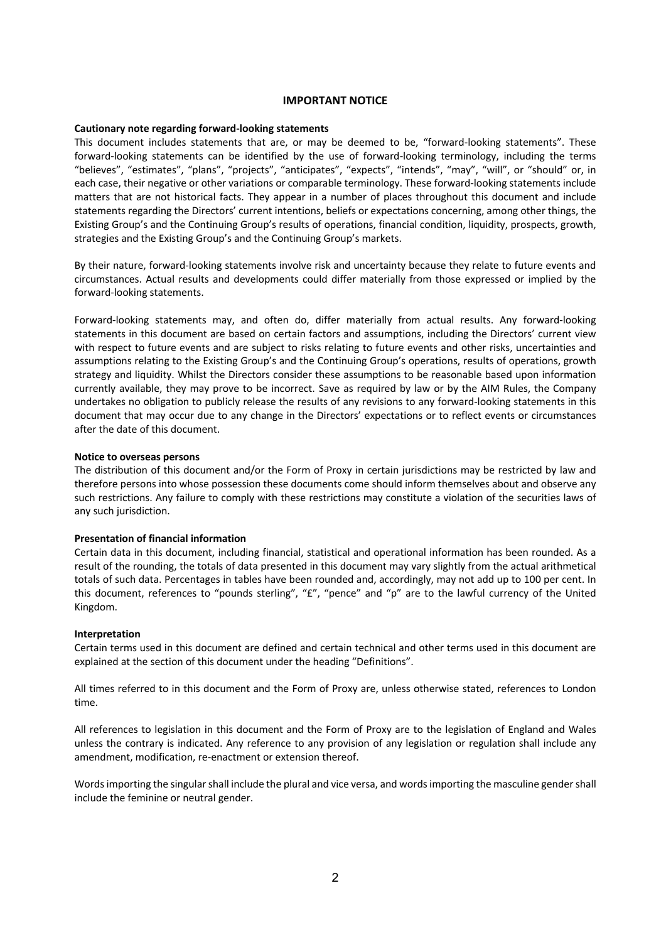#### **IMPORTANT NOTICE**

#### **Cautionary note regarding forward-looking statements**

This document includes statements that are, or may be deemed to be, "forward-looking statements". These forward-looking statements can be identified by the use of forward-looking terminology, including the terms "believes", "estimates", "plans", "projects", "anticipates", "expects", "intends", "may", "will", or "should" or, in each case, their negative or other variations or comparable terminology. These forward-looking statements include matters that are not historical facts. They appear in a number of places throughout this document and include statements regarding the Directors' current intentions, beliefs or expectations concerning, among other things, the Existing Group's and the Continuing Group's results of operations, financial condition, liquidity, prospects, growth, strategies and the Existing Group's and the Continuing Group's markets.

By their nature, forward-looking statements involve risk and uncertainty because they relate to future events and circumstances. Actual results and developments could differ materially from those expressed or implied by the forward-looking statements.

Forward-looking statements may, and often do, differ materially from actual results. Any forward-looking statements in this document are based on certain factors and assumptions, including the Directors' current view with respect to future events and are subject to risks relating to future events and other risks, uncertainties and assumptions relating to the Existing Group's and the Continuing Group's operations, results of operations, growth strategy and liquidity. Whilst the Directors consider these assumptions to be reasonable based upon information currently available, they may prove to be incorrect. Save as required by law or by the AIM Rules, the Company undertakes no obligation to publicly release the results of any revisions to any forward-looking statements in this document that may occur due to any change in the Directors' expectations or to reflect events or circumstances after the date of this document.

#### **Notice to overseas persons**

The distribution of this document and/or the Form of Proxy in certain jurisdictions may be restricted by law and therefore persons into whose possession these documents come should inform themselves about and observe any such restrictions. Any failure to comply with these restrictions may constitute a violation of the securities laws of any such jurisdiction.

#### **Presentation of financial information**

Certain data in this document, including financial, statistical and operational information has been rounded. As a result of the rounding, the totals of data presented in this document may vary slightly from the actual arithmetical totals of such data. Percentages in tables have been rounded and, accordingly, may not add up to 100 per cent. In this document, references to "pounds sterling", "£", "pence" and "p" are to the lawful currency of the United Kingdom.

#### **Interpretation**

Certain terms used in this document are defined and certain technical and other terms used in this document are explained at the section of this document under the heading "Definitions".

All times referred to in this document and the Form of Proxy are, unless otherwise stated, references to London time.

All references to legislation in this document and the Form of Proxy are to the legislation of England and Wales unless the contrary is indicated. Any reference to any provision of any legislation or regulation shall include any amendment, modification, re-enactment or extension thereof.

Words importing the singular shall include the plural and vice versa, and words importing the masculine gender shall include the feminine or neutral gender.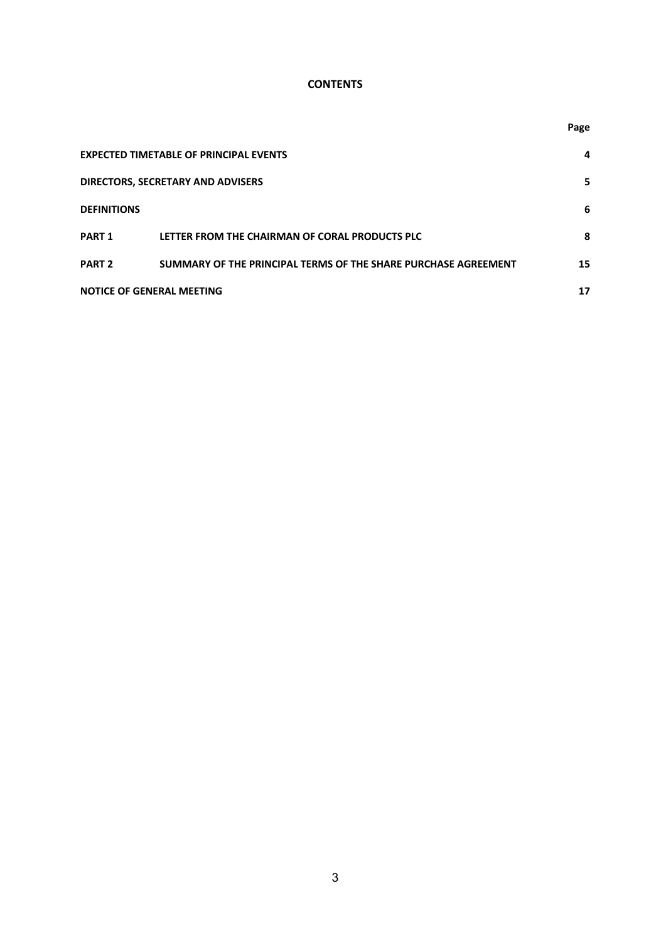## **CONTENTS**

|                                  |                                                                | Page |
|----------------------------------|----------------------------------------------------------------|------|
|                                  | <b>EXPECTED TIMETABLE OF PRINCIPAL EVENTS</b>                  | 4    |
|                                  | DIRECTORS, SECRETARY AND ADVISERS                              | 5    |
| <b>DEFINITIONS</b>               |                                                                | 6    |
| PART <sub>1</sub>                | LETTER FROM THE CHAIRMAN OF CORAL PRODUCTS PLC                 | 8    |
| <b>PART 2</b>                    | SUMMARY OF THE PRINCIPAL TERMS OF THE SHARE PURCHASE AGREEMENT | 15   |
| <b>NOTICE OF GENERAL MEETING</b> |                                                                | 17   |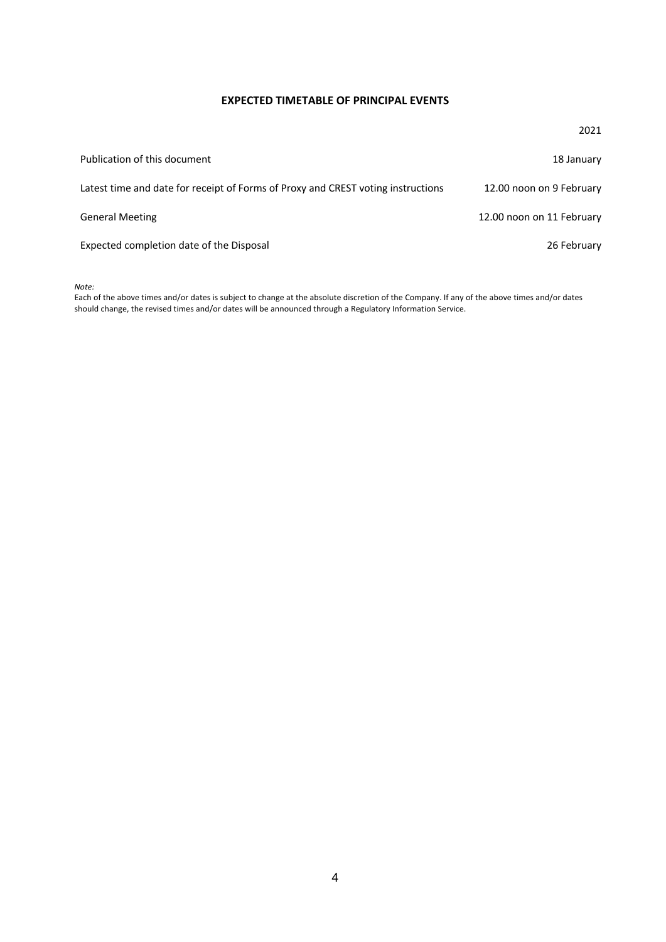## **EXPECTED TIMETABLE OF PRINCIPAL EVENTS**

|                                                                                  | 2021                      |
|----------------------------------------------------------------------------------|---------------------------|
| Publication of this document                                                     | 18 January                |
| Latest time and date for receipt of Forms of Proxy and CREST voting instructions | 12.00 noon on 9 February  |
| <b>General Meeting</b>                                                           | 12.00 noon on 11 February |
| Expected completion date of the Disposal                                         | 26 February               |

*Note:*

Each of the above times and/or dates is subject to change at the absolute discretion of the Company. If any of the above times and/or dates should change, the revised times and/or dates will be announced through a Regulatory Information Service.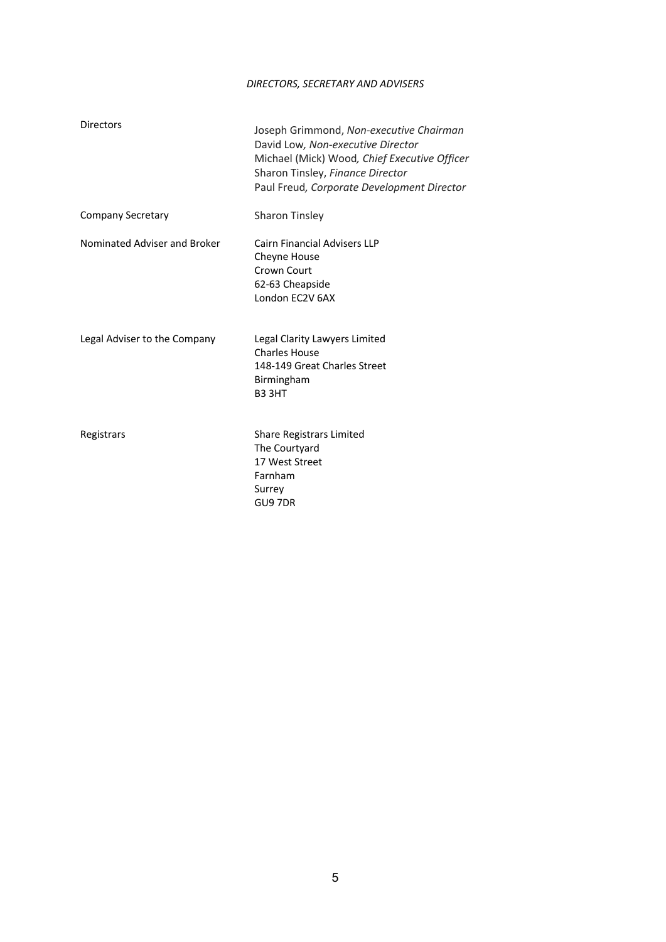## *DIRECTORS, SECRETARY AND ADVISERS*

| <b>Directors</b>             | Joseph Grimmond, Non-executive Chairman<br>David Low, Non-executive Director<br>Michael (Mick) Wood, Chief Executive Officer<br>Sharon Tinsley, Finance Director<br>Paul Freud, Corporate Development Director |
|------------------------------|----------------------------------------------------------------------------------------------------------------------------------------------------------------------------------------------------------------|
| <b>Company Secretary</b>     | Sharon Tinsley                                                                                                                                                                                                 |
| Nominated Adviser and Broker | <b>Cairn Financial Advisers LLP</b><br>Cheyne House<br>Crown Court<br>62-63 Cheapside<br>London EC2V 6AX                                                                                                       |
| Legal Adviser to the Company | Legal Clarity Lawyers Limited<br><b>Charles House</b><br>148-149 Great Charles Street<br>Birmingham<br>B3 3HT                                                                                                  |
| Registrars                   | Share Registrars Limited<br>The Courtyard<br>17 West Street<br>Farnham<br>Surrey<br>GU9 7DR                                                                                                                    |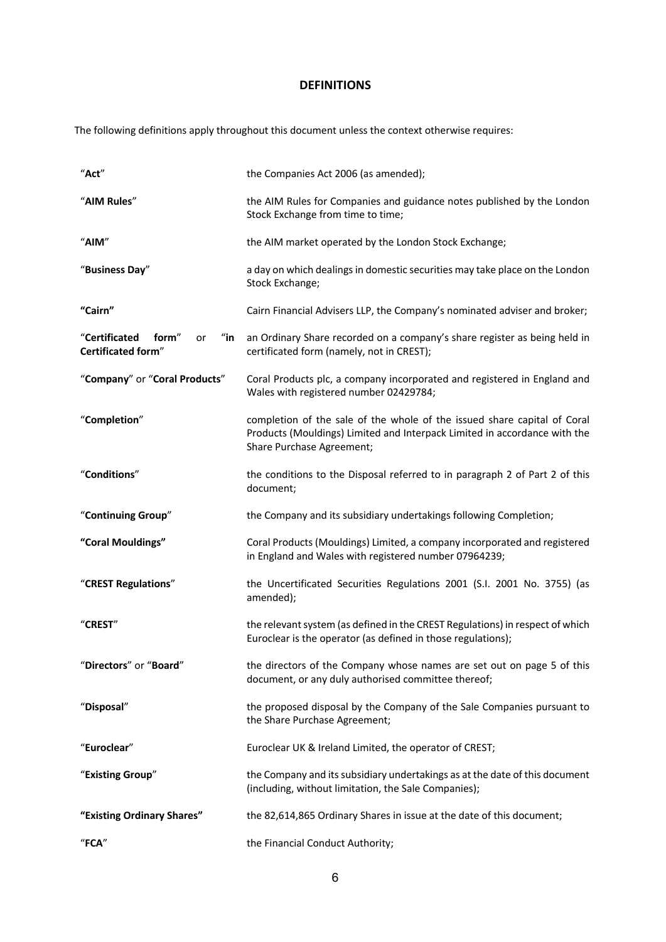## **DEFINITIONS**

The following definitions apply throughout this document unless the context otherwise requires:

| "Act"                                                                      | the Companies Act 2006 (as amended);                                                                                                                                               |
|----------------------------------------------------------------------------|------------------------------------------------------------------------------------------------------------------------------------------------------------------------------------|
| "AIM Rules"                                                                | the AIM Rules for Companies and guidance notes published by the London<br>Stock Exchange from time to time;                                                                        |
| "AlM"                                                                      | the AIM market operated by the London Stock Exchange;                                                                                                                              |
| "Business Day"                                                             | a day on which dealings in domestic securities may take place on the London<br>Stock Exchange;                                                                                     |
| "Cairn"                                                                    | Cairn Financial Advisers LLP, the Company's nominated adviser and broker;                                                                                                          |
| "Certificated<br>$^{\prime\prime}$ in<br>form"<br>or<br>Certificated form" | an Ordinary Share recorded on a company's share register as being held in<br>certificated form (namely, not in CREST);                                                             |
| "Company" or "Coral Products"                                              | Coral Products plc, a company incorporated and registered in England and<br>Wales with registered number 02429784;                                                                 |
| "Completion"                                                               | completion of the sale of the whole of the issued share capital of Coral<br>Products (Mouldings) Limited and Interpack Limited in accordance with the<br>Share Purchase Agreement; |
| "Conditions"                                                               | the conditions to the Disposal referred to in paragraph 2 of Part 2 of this<br>document;                                                                                           |
| "Continuing Group"                                                         | the Company and its subsidiary undertakings following Completion;                                                                                                                  |
| "Coral Mouldings"                                                          | Coral Products (Mouldings) Limited, a company incorporated and registered<br>in England and Wales with registered number 07964239;                                                 |
| "CREST Regulations"                                                        | the Uncertificated Securities Regulations 2001 (S.I. 2001 No. 3755) (as<br>amended);                                                                                               |
| "CREST"                                                                    | the relevant system (as defined in the CREST Regulations) in respect of which<br>Euroclear is the operator (as defined in those regulations);                                      |
| 'Directors" or "Board'                                                     | the directors of the Company whose names are set out on page 5 of this<br>document, or any duly authorised committee thereof;                                                      |
| "Disposal"                                                                 | the proposed disposal by the Company of the Sale Companies pursuant to<br>the Share Purchase Agreement;                                                                            |
| "Euroclear"                                                                | Euroclear UK & Ireland Limited, the operator of CREST;                                                                                                                             |
| "Existing Group"                                                           | the Company and its subsidiary undertakings as at the date of this document<br>(including, without limitation, the Sale Companies);                                                |
| "Existing Ordinary Shares"                                                 | the 82,614,865 Ordinary Shares in issue at the date of this document;                                                                                                              |
| $"$ FCA"                                                                   | the Financial Conduct Authority;                                                                                                                                                   |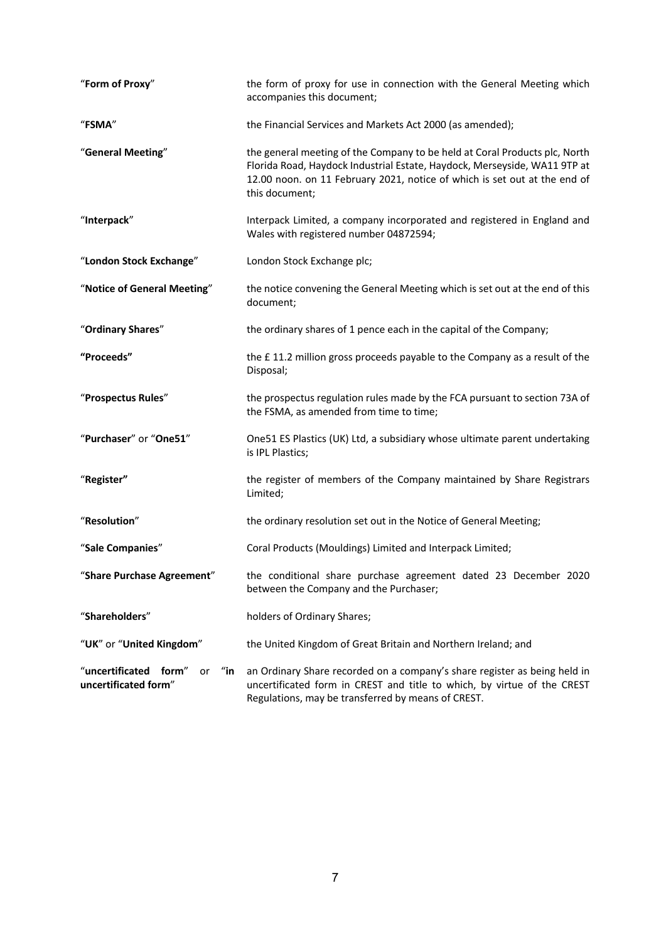| "Form of Proxy"                                                             | the form of proxy for use in connection with the General Meeting which<br>accompanies this document;                                                                                                                                                   |  |  |
|-----------------------------------------------------------------------------|--------------------------------------------------------------------------------------------------------------------------------------------------------------------------------------------------------------------------------------------------------|--|--|
| "FSMA"                                                                      | the Financial Services and Markets Act 2000 (as amended);                                                                                                                                                                                              |  |  |
| "General Meeting"                                                           | the general meeting of the Company to be held at Coral Products plc, North<br>Florida Road, Haydock Industrial Estate, Haydock, Merseyside, WA11 9TP at<br>12.00 noon. on 11 February 2021, notice of which is set out at the end of<br>this document; |  |  |
| "Interpack"                                                                 | Interpack Limited, a company incorporated and registered in England and<br>Wales with registered number 04872594;                                                                                                                                      |  |  |
| "London Stock Exchange"                                                     | London Stock Exchange plc;                                                                                                                                                                                                                             |  |  |
| "Notice of General Meeting"                                                 | the notice convening the General Meeting which is set out at the end of this<br>document;                                                                                                                                                              |  |  |
| "Ordinary Shares"                                                           | the ordinary shares of 1 pence each in the capital of the Company;                                                                                                                                                                                     |  |  |
| "Proceeds"                                                                  | the £11.2 million gross proceeds payable to the Company as a result of the<br>Disposal;                                                                                                                                                                |  |  |
| "Prospectus Rules"                                                          | the prospectus regulation rules made by the FCA pursuant to section 73A of<br>the FSMA, as amended from time to time;                                                                                                                                  |  |  |
| "Purchaser" or "One51"                                                      | One51 ES Plastics (UK) Ltd, a subsidiary whose ultimate parent undertaking<br>is IPL Plastics;                                                                                                                                                         |  |  |
| "Register"                                                                  | the register of members of the Company maintained by Share Registrars<br>Limited;                                                                                                                                                                      |  |  |
| "Resolution"                                                                | the ordinary resolution set out in the Notice of General Meeting;                                                                                                                                                                                      |  |  |
| "Sale Companies"                                                            | Coral Products (Mouldings) Limited and Interpack Limited;                                                                                                                                                                                              |  |  |
| "Share Purchase Agreement"                                                  | the conditional share purchase agreement dated 23 December 2020<br>between the Company and the Purchaser;                                                                                                                                              |  |  |
| "Shareholders"                                                              | holders of Ordinary Shares;                                                                                                                                                                                                                            |  |  |
| "UK" or "United Kingdom"                                                    | the United Kingdom of Great Britain and Northern Ireland; and                                                                                                                                                                                          |  |  |
| "uncertificated form"<br>$^{\prime\prime}$ in<br>or<br>uncertificated form" | an Ordinary Share recorded on a company's share register as being held in<br>uncertificated form in CREST and title to which, by virtue of the CREST<br>Regulations, may be transferred by means of CREST.                                             |  |  |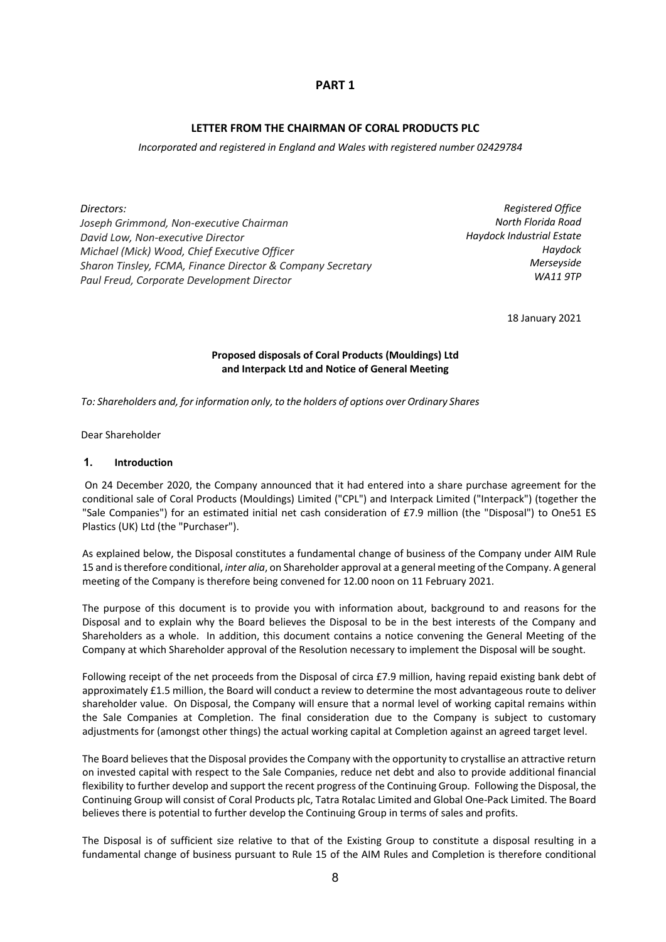## **PART 1**

## **LETTER FROM THE CHAIRMAN OF CORAL PRODUCTS PLC**

*Incorporated and registered in England and Wales with registered number 02429784*

*Directors:*

*Joseph Grimmond, Non-executive Chairman David Low, Non-executive Director Michael (Mick) Wood, Chief Executive Officer Sharon Tinsley, FCMA, Finance Director & Company Secretary Paul Freud, Corporate Development Director*

*Registered Office North Florida Road Haydock Industrial Estate Haydock Merseyside WA11 9TP*

18 January 2021

## **Proposed disposals of Coral Products (Mouldings) Ltd and Interpack Ltd and Notice of General Meeting**

*To: Shareholders and, for information only, to the holders of options over Ordinary Shares*

Dear Shareholder

#### **1. Introduction**

On 24 December 2020, the Company announced that it had entered into a share purchase agreement for the conditional sale of Coral Products (Mouldings) Limited ("CPL") and Interpack Limited ("Interpack") (together the "Sale Companies") for an estimated initial net cash consideration of £7.9 million (the "Disposal") to One51 ES Plastics (UK) Ltd (the "Purchaser").

As explained below, the Disposal constitutes a fundamental change of business of the Company under AIM Rule 15 and istherefore conditional, *inter alia*, on Shareholder approval at a general meeting of the Company. A general meeting of the Company is therefore being convened for 12.00 noon on 11 February 2021.

The purpose of this document is to provide you with information about, background to and reasons for the Disposal and to explain why the Board believes the Disposal to be in the best interests of the Company and Shareholders as a whole. In addition, this document contains a notice convening the General Meeting of the Company at which Shareholder approval of the Resolution necessary to implement the Disposal will be sought.

Following receipt of the net proceeds from the Disposal of circa £7.9 million, having repaid existing bank debt of approximately £1.5 million, the Board will conduct a review to determine the most advantageous route to deliver shareholder value. On Disposal, the Company will ensure that a normal level of working capital remains within the Sale Companies at Completion. The final consideration due to the Company is subject to customary adjustments for (amongst other things) the actual working capital at Completion against an agreed target level.

The Board believes that the Disposal provides the Company with the opportunity to crystallise an attractive return on invested capital with respect to the Sale Companies, reduce net debt and also to provide additional financial flexibility to further develop and support the recent progress of the Continuing Group. Following the Disposal, the Continuing Group will consist of Coral Products plc, Tatra Rotalac Limited and Global One-Pack Limited. The Board believes there is potential to further develop the Continuing Group in terms of sales and profits.

The Disposal is of sufficient size relative to that of the Existing Group to constitute a disposal resulting in a fundamental change of business pursuant to Rule 15 of the AIM Rules and Completion is therefore conditional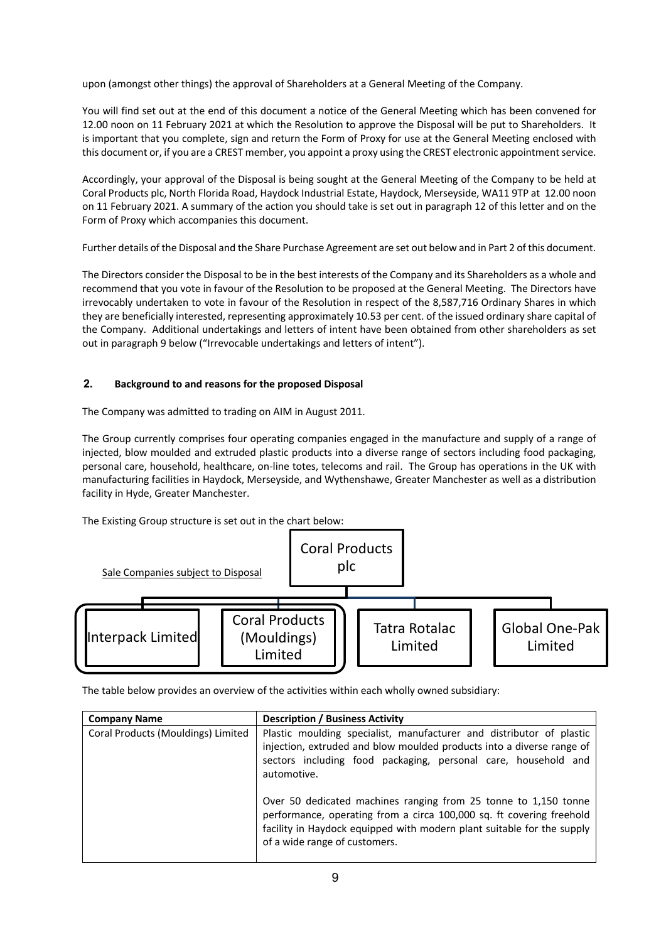upon (amongst other things) the approval of Shareholders at a General Meeting of the Company.

You will find set out at the end of this document a notice of the General Meeting which has been convened for 12.00 noon on 11 February 2021 at which the Resolution to approve the Disposal will be put to Shareholders. It is important that you complete, sign and return the Form of Proxy for use at the General Meeting enclosed with this document or, if you are a CREST member, you appoint a proxy using the CREST electronic appointment service.

Accordingly, your approval of the Disposal is being sought at the General Meeting of the Company to be held at Coral Products plc, North Florida Road, Haydock Industrial Estate, Haydock, Merseyside, WA11 9TP at 12.00 noon on 11 February 2021. A summary of the action you should take is set out in paragraph 12 of this letter and on the Form of Proxy which accompanies this document.

Further details of the Disposal and the Share Purchase Agreement are set out below and in Part 2 of this document.

The Directors consider the Disposal to be in the best interests of the Company and its Shareholders as a whole and recommend that you vote in favour of the Resolution to be proposed at the General Meeting. The Directors have irrevocably undertaken to vote in favour of the Resolution in respect of the 8,587,716 Ordinary Shares in which they are beneficially interested, representing approximately 10.53 per cent. of the issued ordinary share capital of the Company. Additional undertakings and letters of intent have been obtained from other shareholders as set out in paragraph 9 below ("Irrevocable undertakings and letters of intent").

## **2. Background to and reasons for the proposed Disposal**

The Company was admitted to trading on AIM in August 2011.

The Group currently comprises four operating companies engaged in the manufacture and supply of a range of injected, blow moulded and extruded plastic products into a diverse range of sectors including food packaging, personal care, household, healthcare, on-line totes, telecoms and rail. The Group has operations in the UK with manufacturing facilities in Haydock, Merseyside, and Wythenshawe, Greater Manchester as well as a distribution facility in Hyde, Greater Manchester.

The Existing Group structure is set out in the chart below:



The table below provides an overview of the activities within each wholly owned subsidiary:

| <b>Company Name</b>                | <b>Description / Business Activity</b>                                                                                                                                                                                                             |
|------------------------------------|----------------------------------------------------------------------------------------------------------------------------------------------------------------------------------------------------------------------------------------------------|
| Coral Products (Mouldings) Limited | Plastic moulding specialist, manufacturer and distributor of plastic<br>injection, extruded and blow moulded products into a diverse range of<br>sectors including food packaging, personal care, household and<br>automotive.                     |
|                                    | Over 50 dedicated machines ranging from 25 tonne to 1,150 tonne<br>performance, operating from a circa 100,000 sq. ft covering freehold<br>facility in Haydock equipped with modern plant suitable for the supply<br>of a wide range of customers. |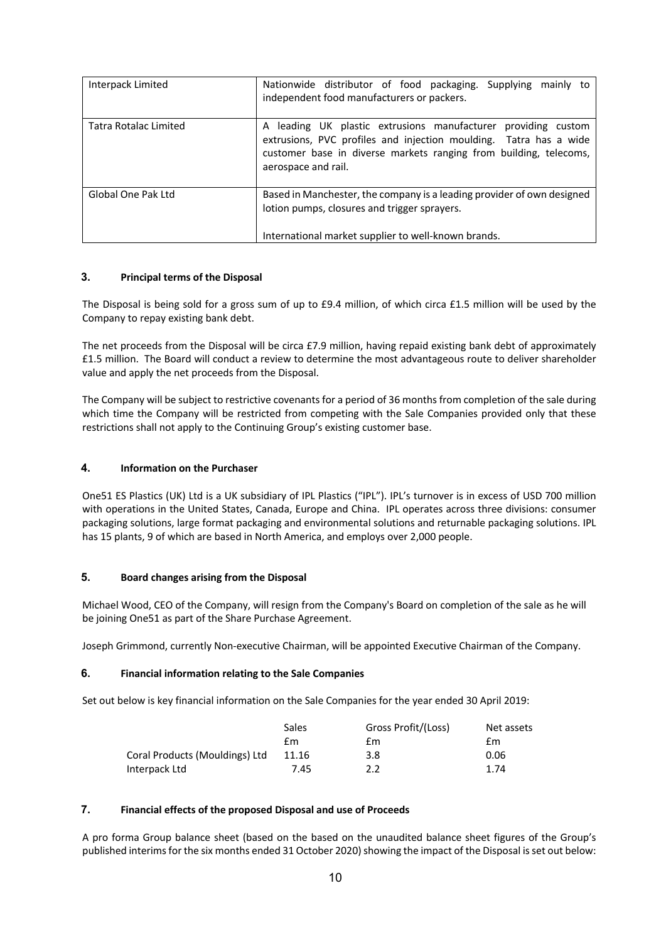| Interpack Limited     | Nationwide distributor of food packaging. Supplying<br>mainly to<br>independent food manufacturers or packers.                                                                                                                    |
|-----------------------|-----------------------------------------------------------------------------------------------------------------------------------------------------------------------------------------------------------------------------------|
| Tatra Rotalac Limited | leading UK plastic extrusions manufacturer providing custom<br>A<br>extrusions, PVC profiles and injection moulding. Tatra has a wide<br>customer base in diverse markets ranging from building, telecoms,<br>aerospace and rail. |
| Global One Pak Ltd    | Based in Manchester, the company is a leading provider of own designed<br>lotion pumps, closures and trigger sprayers.<br>International market supplier to well-known brands.                                                     |

## **3. Principal terms of the Disposal**

The Disposal is being sold for a gross sum of up to £9.4 million, of which circa £1.5 million will be used by the Company to repay existing bank debt.

The net proceeds from the Disposal will be circa £7.9 million, having repaid existing bank debt of approximately £1.5 million. The Board will conduct a review to determine the most advantageous route to deliver shareholder value and apply the net proceeds from the Disposal.

The Company will be subject to restrictive covenants for a period of 36 months from completion of the sale during which time the Company will be restricted from competing with the Sale Companies provided only that these restrictions shall not apply to the Continuing Group's existing customer base.

#### **4. Information on the Purchaser**

One51 ES Plastics (UK) Ltd is a UK subsidiary of IPL Plastics ("IPL"). IPL's turnover is in excess of USD 700 million with operations in the United States, Canada, Europe and China. IPL operates across three divisions: consumer packaging solutions, large format packaging and environmental solutions and returnable packaging solutions. IPL has 15 plants, 9 of which are based in North America, and employs over 2,000 people.

### **5. Board changes arising from the Disposal**

Michael Wood, CEO of the Company, will resign from the Company's Board on completion of the sale as he will be joining One51 as part of the Share Purchase Agreement.

Joseph Grimmond, currently Non-executive Chairman, will be appointed Executive Chairman of the Company.

### **6. Financial information relating to the Sale Companies**

Set out below is key financial information on the Sale Companies for the year ended 30 April 2019:

|                                | Sales | Gross Profit/(Loss) | Net assets |
|--------------------------------|-------|---------------------|------------|
|                                | £m    | £m                  | £m         |
| Coral Products (Mouldings) Ltd | 11.16 | 3.8                 | 0.06       |
| Interpack Ltd                  | 7.45  | $2.2^{\circ}$       | 1.74       |

## **7. Financial effects of the proposed Disposal and use of Proceeds**

A pro forma Group balance sheet (based on the based on the unaudited balance sheet figures of the Group's published interims for the six months ended 31 October 2020) showing the impact of the Disposal is set out below: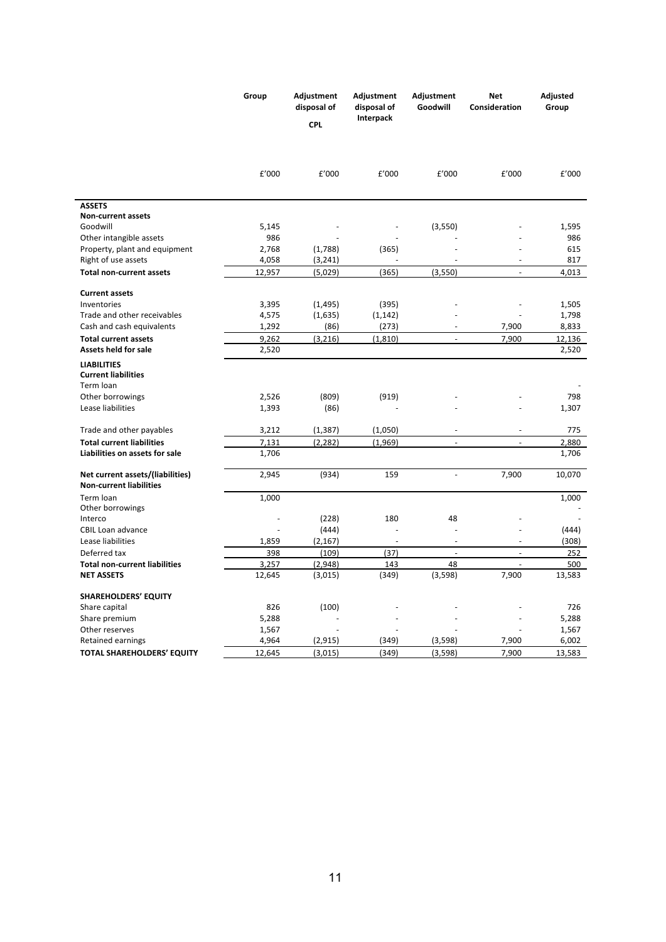|                                                                    | Group  | Adjustment<br>disposal of<br><b>CPL</b> | Adjustment<br>disposal of<br>Interpack | Adjustment<br>Goodwill   | <b>Net</b><br>Consideration | Adjusted<br>Group |
|--------------------------------------------------------------------|--------|-----------------------------------------|----------------------------------------|--------------------------|-----------------------------|-------------------|
|                                                                    |        |                                         |                                        |                          |                             |                   |
|                                                                    | £'000  | £'000                                   | £'000                                  | £'000                    | £'000                       | £'000             |
| <b>ASSETS</b>                                                      |        |                                         |                                        |                          |                             |                   |
| <b>Non-current assets</b>                                          |        |                                         |                                        |                          |                             |                   |
| Goodwill                                                           | 5,145  |                                         |                                        | (3,550)                  |                             | 1,595             |
| Other intangible assets                                            | 986    |                                         |                                        |                          |                             | 986               |
| Property, plant and equipment                                      | 2,768  | (1,788)                                 | (365)                                  |                          |                             | 615               |
| Right of use assets                                                | 4,058  | (3, 241)                                |                                        |                          | ÷,                          | 817               |
| <b>Total non-current assets</b>                                    | 12,957 | (5,029)                                 | (365)                                  | (3,550)                  |                             | 4,013             |
| <b>Current assets</b>                                              |        |                                         |                                        |                          |                             |                   |
| Inventories                                                        | 3,395  | (1, 495)                                | (395)                                  |                          |                             | 1,505             |
| Trade and other receivables                                        | 4,575  | (1,635)                                 | (1, 142)                               |                          |                             | 1,798             |
| Cash and cash equivalents                                          | 1,292  | (86)                                    | (273)                                  |                          | 7,900                       | 8,833             |
| <b>Total current assets</b>                                        | 9,262  | (3, 216)                                | (1, 810)                               | ÷,                       | 7,900                       | 12,136            |
| Assets held for sale                                               | 2,520  |                                         |                                        |                          |                             | 2,520             |
| <b>LIABILITIES</b><br><b>Current liabilities</b>                   |        |                                         |                                        |                          |                             |                   |
| Term loan                                                          |        |                                         |                                        |                          |                             |                   |
| Other borrowings                                                   | 2,526  | (809)                                   | (919)                                  |                          |                             | 798               |
| Lease liabilities                                                  | 1,393  | (86)                                    |                                        |                          |                             | 1,307             |
| Trade and other payables                                           | 3,212  | (1, 387)                                | (1,050)                                | $\overline{a}$           | $\overline{\phantom{a}}$    | 775               |
| <b>Total current liabilities</b>                                   | 7,131  | (2, 282)                                | (1,969)                                | $\blacksquare$           | ÷.                          | 2,880             |
| Liabilities on assets for sale                                     | 1,706  |                                         |                                        |                          |                             | 1,706             |
| Net current assets/(liabilities)<br><b>Non-current liabilities</b> | 2,945  | (934)                                   | 159                                    | $\overline{\phantom{a}}$ | 7,900                       | 10,070            |
| Term loan                                                          | 1,000  |                                         |                                        |                          |                             | 1,000             |
| Other borrowings                                                   |        |                                         | 180                                    | 48                       |                             |                   |
| Interco                                                            |        | (228)                                   |                                        |                          |                             |                   |
| CBIL Loan advance<br>Lease liabilities                             |        | (444)                                   | ä,                                     | ٠                        |                             | (444)             |
|                                                                    | 1,859  | (2, 167)                                |                                        | ÷,                       |                             | (308)             |
| Deferred tax                                                       | 398    | (109)                                   | (37)                                   |                          | $\overline{a}$              | 252               |
| <b>Total non-current liabilities</b>                               | 3,257  | (2,948)                                 | 143                                    | 48                       | L.                          | 500               |
| <b>NET ASSETS</b>                                                  | 12,645 | (3,015)                                 | (349)                                  | (3,598)                  | 7,900                       | 13,583            |
| <b>SHAREHOLDERS' EQUITY</b>                                        |        |                                         |                                        |                          |                             |                   |
| Share capital                                                      | 826    | (100)                                   |                                        |                          |                             | 726               |
| Share premium                                                      | 5,288  |                                         |                                        |                          |                             | 5,288             |
| Other reserves                                                     | 1,567  |                                         |                                        |                          |                             | 1,567             |
| Retained earnings                                                  | 4,964  | (2, 915)                                | (349)                                  | (3,598)                  | 7,900                       | 6,002             |
| <b>TOTAL SHAREHOLDERS' EQUITY</b>                                  | 12,645 | (3,015)                                 | (349)                                  | (3, 598)                 | 7,900                       | 13,583            |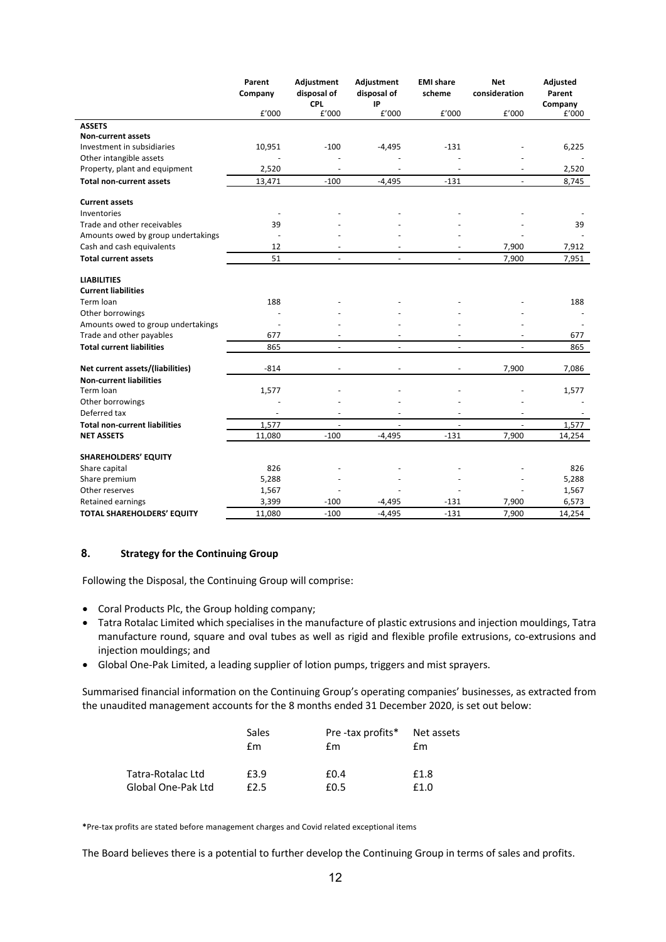|                                      | Parent<br>Company | Adjustment<br>disposal of | Adjustment<br>disposal of | <b>EMI share</b><br>scheme | <b>Net</b><br>consideration | Adjusted<br>Parent |
|--------------------------------------|-------------------|---------------------------|---------------------------|----------------------------|-----------------------------|--------------------|
|                                      |                   | <b>CPL</b>                | IP                        |                            |                             | Company            |
|                                      | £'000             | £'000                     | £'000                     | £'000                      | £'000                       | £'000              |
| <b>ASSETS</b>                        |                   |                           |                           |                            |                             |                    |
| <b>Non-current assets</b>            |                   |                           |                           |                            |                             |                    |
| Investment in subsidiaries           | 10,951            | $-100$                    | $-4,495$                  | $-131$                     |                             | 6,225              |
| Other intangible assets              |                   |                           |                           |                            |                             |                    |
| Property, plant and equipment        | 2,520             | $\blacksquare$            | L,                        |                            | $\overline{\phantom{a}}$    | 2,520              |
| <b>Total non-current assets</b>      | 13,471            | $-100$                    | $-4,495$                  | $-131$                     | $\blacksquare$              | 8,745              |
| <b>Current assets</b>                |                   |                           |                           |                            |                             |                    |
| Inventories                          |                   |                           |                           |                            |                             |                    |
| Trade and other receivables          | 39                |                           |                           |                            |                             | 39                 |
| Amounts owed by group undertakings   | ÷.                |                           |                           |                            |                             |                    |
| Cash and cash equivalents            | 12                |                           |                           |                            | 7,900                       | 7,912              |
| <b>Total current assets</b>          | 51                | $\blacksquare$            | ÷.                        | $\blacksquare$             | 7,900                       | 7,951              |
| <b>LIABILITIES</b>                   |                   |                           |                           |                            |                             |                    |
| <b>Current liabilities</b>           |                   |                           |                           |                            |                             |                    |
| Term Ioan                            | 188               |                           |                           |                            |                             | 188                |
| Other borrowings                     |                   |                           |                           |                            |                             |                    |
| Amounts owed to group undertakings   |                   |                           |                           |                            |                             |                    |
| Trade and other payables             | 677               |                           |                           |                            |                             | 677                |
| <b>Total current liabilities</b>     | 865               | ÷,                        |                           | ÷,                         |                             | 865                |
| Net current assets/(liabilities)     | $-814$            | $\overline{\phantom{a}}$  |                           | $\overline{\phantom{a}}$   | 7,900                       | 7,086              |
| <b>Non-current liabilities</b>       |                   |                           |                           |                            |                             |                    |
| Term Ioan                            | 1,577             |                           |                           |                            |                             | 1,577              |
| Other borrowings                     |                   |                           |                           |                            |                             |                    |
| Deferred tax                         |                   |                           |                           |                            |                             |                    |
| <b>Total non-current liabilities</b> | 1,577             |                           |                           |                            |                             | 1,577              |
| <b>NET ASSETS</b>                    | 11,080            | $-100$                    | $-4.495$                  | $-131$                     | 7,900                       | 14,254             |
| <b>SHAREHOLDERS' EQUITY</b>          |                   |                           |                           |                            |                             |                    |
| Share capital                        | 826               |                           |                           |                            |                             | 826                |
| Share premium                        | 5,288             |                           |                           |                            |                             | 5,288              |
| Other reserves                       | 1,567             |                           |                           |                            |                             | 1,567              |
| Retained earnings                    | 3,399             | $-100$                    | $-4,495$                  | $-131$                     | 7,900                       | 6,573              |
| <b>TOTAL SHAREHOLDERS' EQUITY</b>    | 11,080            | $-100$                    | $-4,495$                  | $-131$                     | 7,900                       | 14,254             |

## **8. Strategy for the Continuing Group**

Following the Disposal, the Continuing Group will comprise:

- Coral Products Plc, the Group holding company;
- Tatra Rotalac Limited which specialises in the manufacture of plastic extrusions and injection mouldings, Tatra manufacture round, square and oval tubes as well as rigid and flexible profile extrusions, co-extrusions and injection mouldings; and
- Global One-Pak Limited, a leading supplier of lotion pumps, triggers and mist sprayers.

Summarised financial information on the Continuing Group's operating companies' businesses, as extracted from the unaudited management accounts for the 8 months ended 31 December 2020, is set out below:

|                    | Sales<br>fm | Pre-tax profits* Net assets<br>fm. | £m   |
|--------------------|-------------|------------------------------------|------|
| Tatra-Rotalac Ltd  | £3.9        | £0.4                               | £1.8 |
| Global One-Pak Ltd | f2.5        | £0.5                               | f1.0 |

**\***Pre-tax profits are stated before management charges and Covid related exceptional items

The Board believes there is a potential to further develop the Continuing Group in terms of sales and profits.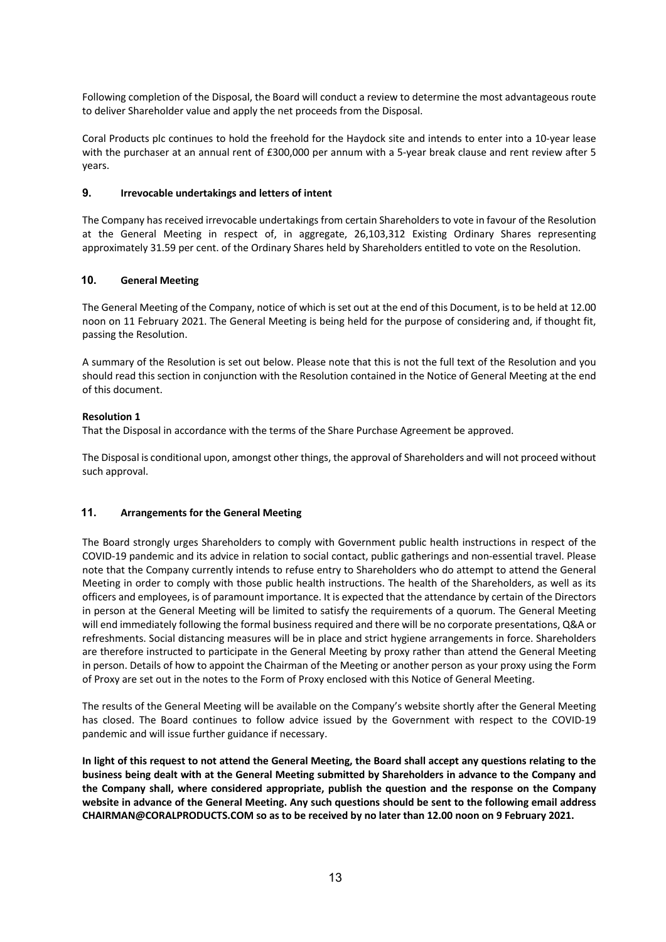Following completion of the Disposal, the Board will conduct a review to determine the most advantageous route to deliver Shareholder value and apply the net proceeds from the Disposal.

Coral Products plc continues to hold the freehold for the Haydock site and intends to enter into a 10-year lease with the purchaser at an annual rent of £300,000 per annum with a 5-year break clause and rent review after 5 years.

#### **9. Irrevocable undertakings and letters of intent**

The Company has received irrevocable undertakings from certain Shareholders to vote in favour of the Resolution at the General Meeting in respect of, in aggregate, 26,103,312 Existing Ordinary Shares representing approximately 31.59 per cent. of the Ordinary Shares held by Shareholders entitled to vote on the Resolution.

#### **10. General Meeting**

The General Meeting of the Company, notice of which is set out at the end of this Document, is to be held at 12.00 noon on 11 February 2021. The General Meeting is being held for the purpose of considering and, if thought fit, passing the Resolution.

A summary of the Resolution is set out below. Please note that this is not the full text of the Resolution and you should read this section in conjunction with the Resolution contained in the Notice of General Meeting at the end of this document.

#### **Resolution 1**

That the Disposal in accordance with the terms of the Share Purchase Agreement be approved.

The Disposal is conditional upon, amongst other things, the approval of Shareholders and will not proceed without such approval.

## **11. Arrangements for the General Meeting**

The Board strongly urges Shareholders to comply with Government public health instructions in respect of the COVID-19 pandemic and its advice in relation to social contact, public gatherings and non-essential travel. Please note that the Company currently intends to refuse entry to Shareholders who do attempt to attend the General Meeting in order to comply with those public health instructions. The health of the Shareholders, as well as its officers and employees, is of paramount importance. It is expected that the attendance by certain of the Directors in person at the General Meeting will be limited to satisfy the requirements of a quorum. The General Meeting will end immediately following the formal business required and there will be no corporate presentations, Q&A or refreshments. Social distancing measures will be in place and strict hygiene arrangements in force. Shareholders are therefore instructed to participate in the General Meeting by proxy rather than attend the General Meeting in person. Details of how to appoint the Chairman of the Meeting or another person as your proxy using the Form of Proxy are set out in the notes to the Form of Proxy enclosed with this Notice of General Meeting.

The results of the General Meeting will be available on the Company's website shortly after the General Meeting has closed. The Board continues to follow advice issued by the Government with respect to the COVID-19 pandemic and will issue further guidance if necessary.

**In light of this request to not attend the General Meeting, the Board shall accept any questions relating to the business being dealt with at the General Meeting submitted by Shareholders in advance to the Company and the Company shall, where considered appropriate, publish the question and the response on the Company website in advance of the General Meeting. Any such questions should be sent to the following email address CHAIRMAN@CORALPRODUCTS.COM so as to be received by no later than 12.00 noon on 9 February 2021.**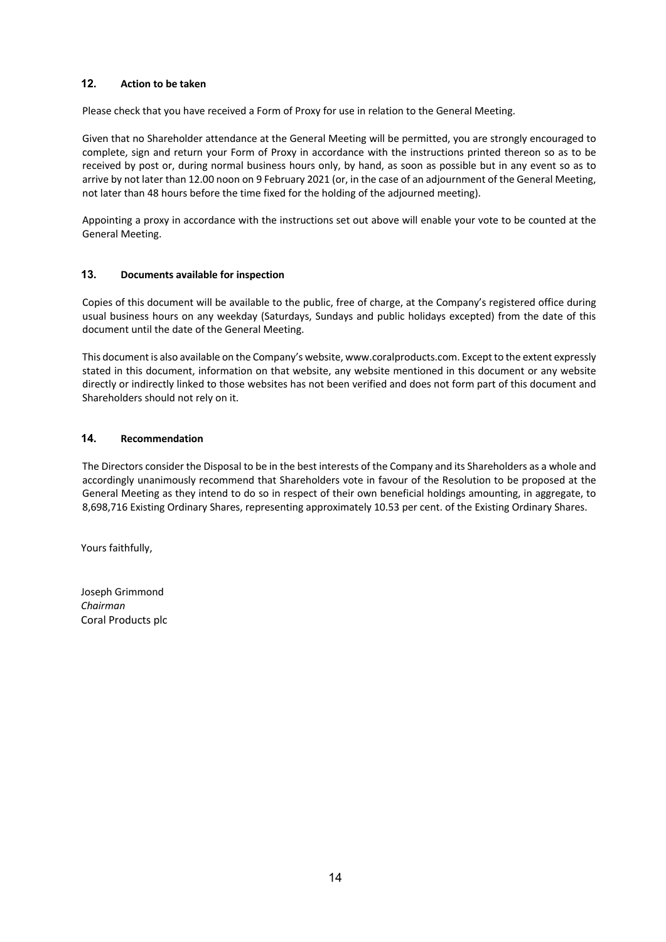## **12. Action to be taken**

Please check that you have received a Form of Proxy for use in relation to the General Meeting.

Given that no Shareholder attendance at the General Meeting will be permitted, you are strongly encouraged to complete, sign and return your Form of Proxy in accordance with the instructions printed thereon so as to be received by post or, during normal business hours only, by hand, as soon as possible but in any event so as to arrive by not later than 12.00 noon on 9 February 2021 (or, in the case of an adjournment of the General Meeting, not later than 48 hours before the time fixed for the holding of the adjourned meeting).

Appointing a proxy in accordance with the instructions set out above will enable your vote to be counted at the General Meeting.

## **13. Documents available for inspection**

Copies of this document will be available to the public, free of charge, at the Company's registered office during usual business hours on any weekday (Saturdays, Sundays and public holidays excepted) from the date of this document until the date of the General Meeting.

This document is also available on the Company's website, www.coralproducts.com. Except to the extent expressly stated in this document, information on that website, any website mentioned in this document or any website directly or indirectly linked to those websites has not been verified and does not form part of this document and Shareholders should not rely on it.

## **14. Recommendation**

The Directors consider the Disposal to be in the best interests of the Company and its Shareholders as a whole and accordingly unanimously recommend that Shareholders vote in favour of the Resolution to be proposed at the General Meeting as they intend to do so in respect of their own beneficial holdings amounting, in aggregate, to 8,698,716 Existing Ordinary Shares, representing approximately 10.53 per cent. of the Existing Ordinary Shares.

Yours faithfully,

Joseph Grimmond *Chairman* Coral Products plc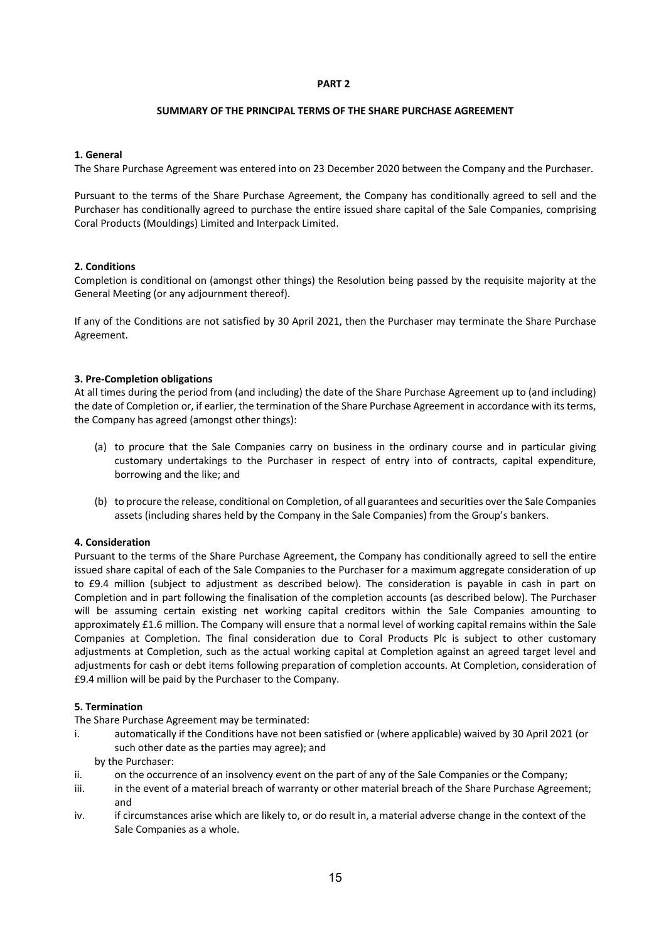#### **PART 2**

### **SUMMARY OF THE PRINCIPAL TERMS OF THE SHARE PURCHASE AGREEMENT**

### **1. General**

The Share Purchase Agreement was entered into on 23 December 2020 between the Company and the Purchaser.

Pursuant to the terms of the Share Purchase Agreement, the Company has conditionally agreed to sell and the Purchaser has conditionally agreed to purchase the entire issued share capital of the Sale Companies, comprising Coral Products (Mouldings) Limited and Interpack Limited.

### **2. Conditions**

Completion is conditional on (amongst other things) the Resolution being passed by the requisite majority at the General Meeting (or any adjournment thereof).

If any of the Conditions are not satisfied by 30 April 2021, then the Purchaser may terminate the Share Purchase Agreement.

### **3. Pre-Completion obligations**

At all times during the period from (and including) the date of the Share Purchase Agreement up to (and including) the date of Completion or, if earlier, the termination of the Share Purchase Agreement in accordance with its terms, the Company has agreed (amongst other things):

- (a) to procure that the Sale Companies carry on business in the ordinary course and in particular giving customary undertakings to the Purchaser in respect of entry into of contracts, capital expenditure, borrowing and the like; and
- (b) to procure the release, conditional on Completion, of all guarantees and securities over the Sale Companies assets (including shares held by the Company in the Sale Companies) from the Group's bankers.

### **4. Consideration**

Pursuant to the terms of the Share Purchase Agreement, the Company has conditionally agreed to sell the entire issued share capital of each of the Sale Companies to the Purchaser for a maximum aggregate consideration of up to £9.4 million (subject to adjustment as described below). The consideration is payable in cash in part on Completion and in part following the finalisation of the completion accounts (as described below). The Purchaser will be assuming certain existing net working capital creditors within the Sale Companies amounting to approximately £1.6 million. The Company will ensure that a normal level of working capital remains within the Sale Companies at Completion. The final consideration due to Coral Products Plc is subject to other customary adjustments at Completion, such as the actual working capital at Completion against an agreed target level and adjustments for cash or debt items following preparation of completion accounts. At Completion, consideration of £9.4 million will be paid by the Purchaser to the Company.

### **5. Termination**

The Share Purchase Agreement may be terminated:

- i. automatically if the Conditions have not been satisfied or (where applicable) waived by 30 April 2021 (or such other date as the parties may agree); and
	- by the Purchaser:
- ii. on the occurrence of an insolvency event on the part of any of the Sale Companies or the Company;
- iii. iii. in the event of a material breach of warranty or other material breach of the Share Purchase Agreement; and
- iv. if circumstances arise which are likely to, or do result in, a material adverse change in the context of the Sale Companies as a whole.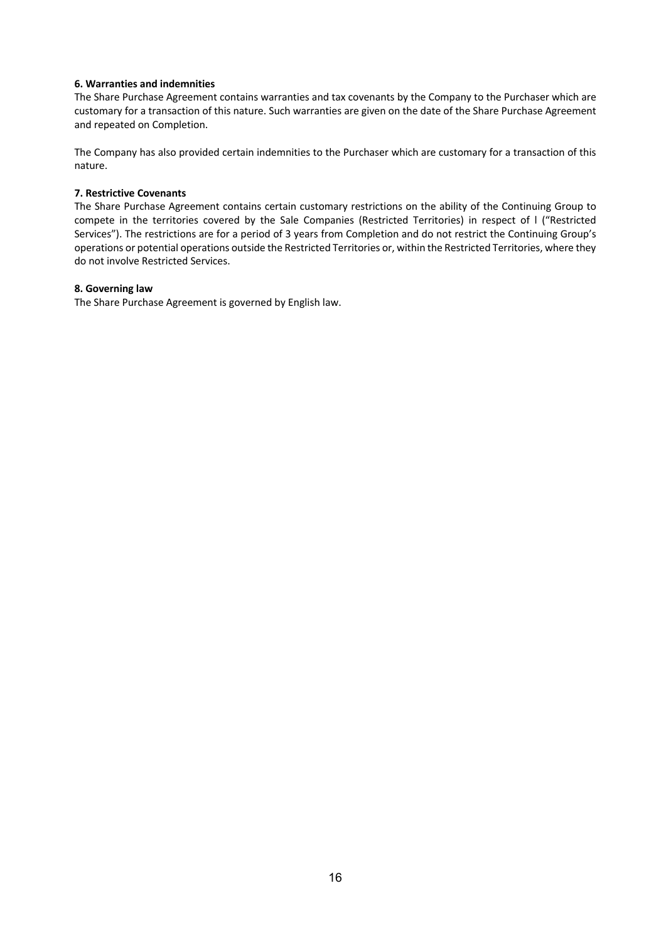#### **6. Warranties and indemnities**

The Share Purchase Agreement contains warranties and tax covenants by the Company to the Purchaser which are customary for a transaction of this nature. Such warranties are given on the date of the Share Purchase Agreement and repeated on Completion.

The Company has also provided certain indemnities to the Purchaser which are customary for a transaction of this nature.

## **7. Restrictive Covenants**

The Share Purchase Agreement contains certain customary restrictions on the ability of the Continuing Group to compete in the territories covered by the Sale Companies (Restricted Territories) in respect of l ("Restricted Services"). The restrictions are for a period of 3 years from Completion and do not restrict the Continuing Group's operations or potential operations outside the Restricted Territories or, within the Restricted Territories, where they do not involve Restricted Services.

#### **8. Governing law**

The Share Purchase Agreement is governed by English law.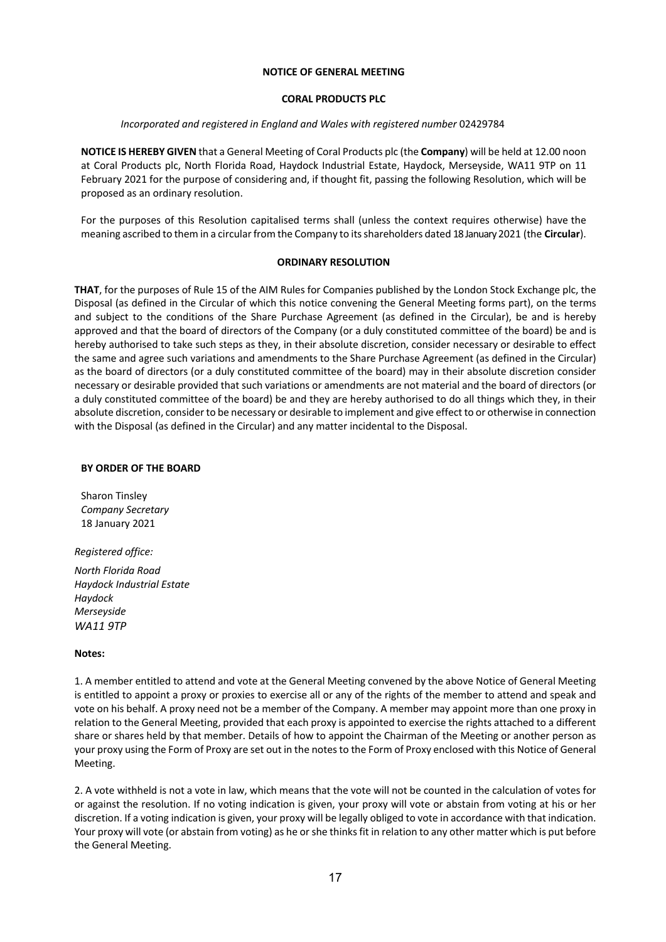#### **NOTICE OF GENERAL MEETING**

#### **CORAL PRODUCTS PLC**

#### *Incorporated and registered in England and Wales with registered number* 02429784

**NOTICE IS HEREBY GIVEN** that a General Meeting of Coral Products plc (the **Company**) will be held at 12.00 noon at Coral Products plc, North Florida Road, Haydock Industrial Estate, Haydock, Merseyside, WA11 9TP on 11 February 2021 for the purpose of considering and, if thought fit, passing the following Resolution, which will be proposed as an ordinary resolution.

For the purposes of this Resolution capitalised terms shall (unless the context requires otherwise) have the meaning ascribed to them in a circular from the Company to its shareholders dated 18 January 2021 (the **Circular**).

#### **ORDINARY RESOLUTION**

**THAT**, for the purposes of Rule 15 of the AIM Rules for Companies published by the London Stock Exchange plc, the Disposal (as defined in the Circular of which this notice convening the General Meeting forms part), on the terms and subject to the conditions of the Share Purchase Agreement (as defined in the Circular), be and is hereby approved and that the board of directors of the Company (or a duly constituted committee of the board) be and is hereby authorised to take such steps as they, in their absolute discretion, consider necessary or desirable to effect the same and agree such variations and amendments to the Share Purchase Agreement (as defined in the Circular) as the board of directors (or a duly constituted committee of the board) may in their absolute discretion consider necessary or desirable provided that such variations or amendments are not material and the board of directors (or a duly constituted committee of the board) be and they are hereby authorised to do all things which they, in their absolute discretion, consider to be necessary or desirable to implement and give effect to or otherwise in connection with the Disposal (as defined in the Circular) and any matter incidental to the Disposal.

#### **BY ORDER OF THE BOARD**

Sharon Tinsley *Company Secretary* 18 January 2021

*Registered office:*

*North Florida Road Haydock Industrial Estate Haydock Merseyside WA11 9TP*

### **Notes:**

1. A member entitled to attend and vote at the General Meeting convened by the above Notice of General Meeting is entitled to appoint a proxy or proxies to exercise all or any of the rights of the member to attend and speak and vote on his behalf. A proxy need not be a member of the Company. A member may appoint more than one proxy in relation to the General Meeting, provided that each proxy is appointed to exercise the rights attached to a different share or shares held by that member. Details of how to appoint the Chairman of the Meeting or another person as your proxy using the Form of Proxy are set out in the notes to the Form of Proxy enclosed with this Notice of General Meeting.

2. A vote withheld is not a vote in law, which means that the vote will not be counted in the calculation of votes for or against the resolution. If no voting indication is given, your proxy will vote or abstain from voting at his or her discretion. If a voting indication is given, your proxy will be legally obliged to vote in accordance with that indication. Your proxy will vote (or abstain from voting) as he or she thinks fit in relation to any other matter which is put before the General Meeting.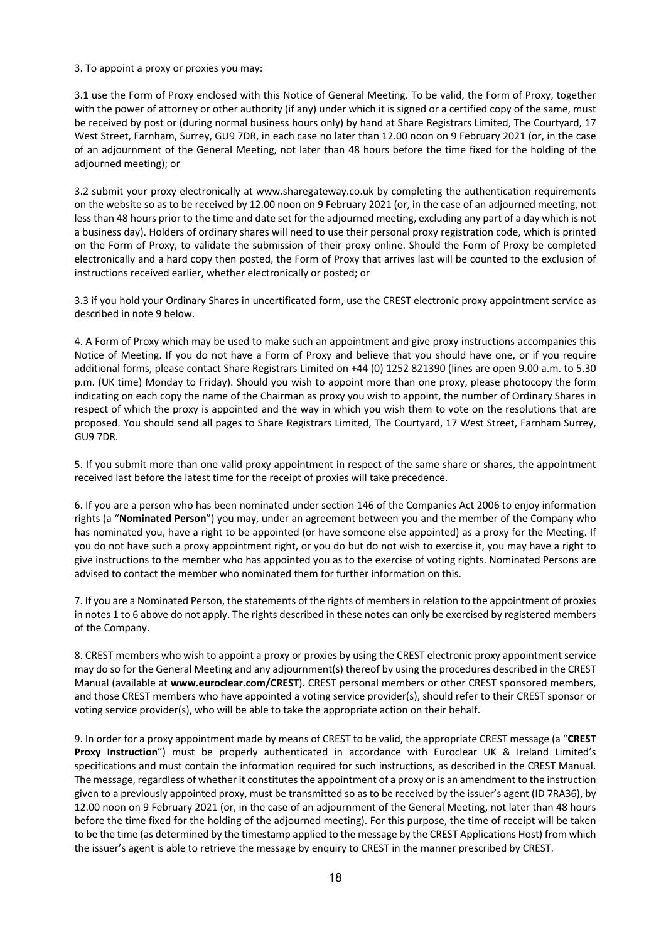3. To appoint a proxy or proxies you may:

3.1 use the Form of Proxy enclosed with this Notice of General Meeting. To be valid, the Form of Proxy, together with the power of attorney or other authority (if any) under which it is signed or a certified copy of the same, must be received by post or (during normal business hours only) by hand at Share Registrars Limited, The Courtyard, 17 West Street, Farnham, Surrey, GU9 7DR, in each case no later than 12.00 noon on 9 February 2021 (or, in the case of an adjournment of the General Meeting, not later than 48 hours before the time fixed for the holding of the adjourned meeting); or

3.2 submit your proxy electronically at www.sharegateway.co.uk by completing the authentication requirements on the website so as to be received by 12.00 noon on 9 February 2021 (or, in the case of an adjourned meeting, not less than 48 hours prior to the time and date set for the adjourned meeting, excluding any part of a day which is not a business day). Holders of ordinary shares will need to use their personal proxy registration code, which is printed on the Form of Proxy, to validate the submission of their proxy online. Should the Form of Proxy be completed electronically and a hard copy then posted, the Form of Proxy that arrives last will be counted to the exclusion of instructions received earlier, whether electronically or posted; or

3.3 if you hold your Ordinary Shares in uncertificated form, use the CREST electronic proxy appointment service as described in note 9 below.

4. A Form of Proxy which may be used to make such an appointment and give proxy instructions accompanies this Notice of Meeting. If you do not have a Form of Proxy and believe that you should have one, or if you require additional forms, please contact Share Registrars Limited on +44 (0) 1252 821390 (lines are open 9.00 a.m. to 5.30 p.m. (UK time) Monday to Friday). Should you wish to appoint more than one proxy, please photocopy the form indicating on each copy the name of the Chairman as proxy you wish to appoint, the number of Ordinary Shares in respect of which the proxy is appointed and the way in which you wish them to vote on the resolutions that are proposed. You should send all pages to Share Registrars Limited, The Courtyard, 17 West Street, Farnham Surrey, GU9 7DR.

5. If you submit more than one valid proxy appointment in respect of the same share or shares, the appointment received last before the latest time for the receipt of proxies will take precedence.

6. If you are a person who has been nominated under section 146 of the Companies Act 2006 to enjoy information rights (a "**Nominated Person**") you may, under an agreement between you and the member of the Company who has nominated you, have a right to be appointed (or have someone else appointed) as a proxy for the Meeting. If you do not have such a proxy appointment right, or you do but do not wish to exercise it, you may have a right to give instructions to the member who has appointed you as to the exercise of voting rights. Nominated Persons are advised to contact the member who nominated them for further information on this.

7. If you are a Nominated Person, the statements of the rights of members in relation to the appointment of proxies in notes 1 to 6 above do not apply. The rights described in these notes can only be exercised by registered members of the Company.

8. CREST members who wish to appoint a proxy or proxies by using the CREST electronic proxy appointment service may do so for the General Meeting and any adjournment(s) thereof by using the procedures described in the CREST Manual (available at **www.euroclear.com/CREST**). CREST personal members or other CREST sponsored members, and those CREST members who have appointed a voting service provider(s), should refer to their CREST sponsor or voting service provider(s), who will be able to take the appropriate action on their behalf.

9. In order for a proxy appointment made by means of CREST to be valid, the appropriate CREST message (a "**CREST Proxy Instruction**") must be properly authenticated in accordance with Euroclear UK & Ireland Limited's specifications and must contain the information required for such instructions, as described in the CREST Manual. The message, regardless of whether it constitutes the appointment of a proxy or is an amendment to the instruction given to a previously appointed proxy, must be transmitted so as to be received by the issuer's agent (ID 7RA36), by 12.00 noon on 9 February 2021 (or, in the case of an adjournment of the General Meeting, not later than 48 hours before the time fixed for the holding of the adjourned meeting). For this purpose, the time of receipt will be taken to be the time (as determined by the timestamp applied to the message by the CREST Applications Host) from which the issuer's agent is able to retrieve the message by enquiry to CREST in the manner prescribed by CREST.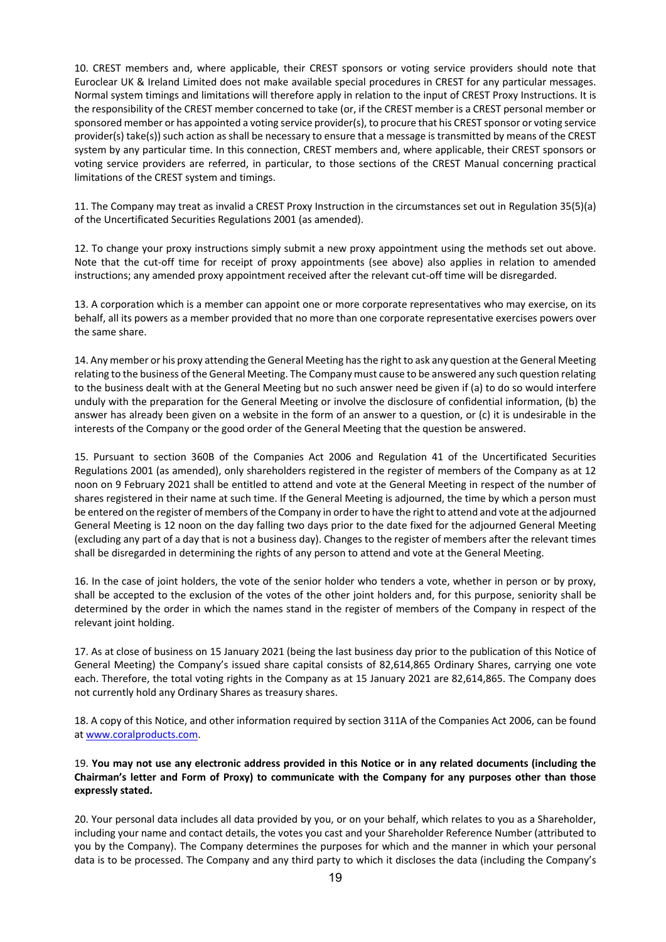10. CREST members and, where applicable, their CREST sponsors or voting service providers should note that Euroclear UK & Ireland Limited does not make available special procedures in CREST for any particular messages. Normal system timings and limitations will therefore apply in relation to the input of CREST Proxy Instructions. It is the responsibility of the CREST member concerned to take (or, if the CREST member is a CREST personal member or sponsored member or has appointed a voting service provider(s), to procure that his CREST sponsor or voting service provider(s) take(s)) such action as shall be necessary to ensure that a message is transmitted by means of the CREST system by any particular time. In this connection, CREST members and, where applicable, their CREST sponsors or voting service providers are referred, in particular, to those sections of the CREST Manual concerning practical limitations of the CREST system and timings.

11. The Company may treat as invalid a CREST Proxy Instruction in the circumstances set out in Regulation 35(5)(a) of the Uncertificated Securities Regulations 2001 (as amended).

12. To change your proxy instructions simply submit a new proxy appointment using the methods set out above. Note that the cut-off time for receipt of proxy appointments (see above) also applies in relation to amended instructions; any amended proxy appointment received after the relevant cut-off time will be disregarded.

13. A corporation which is a member can appoint one or more corporate representatives who may exercise, on its behalf, all its powers as a member provided that no more than one corporate representative exercises powers over the same share.

14. Any member or his proxy attending the General Meeting has the right to ask any question at the General Meeting relating to the business of the General Meeting. The Company must cause to be answered any such question relating to the business dealt with at the General Meeting but no such answer need be given if (a) to do so would interfere unduly with the preparation for the General Meeting or involve the disclosure of confidential information, (b) the answer has already been given on a website in the form of an answer to a question, or (c) it is undesirable in the interests of the Company or the good order of the General Meeting that the question be answered.

15. Pursuant to section 360B of the Companies Act 2006 and Regulation 41 of the Uncertificated Securities Regulations 2001 (as amended), only shareholders registered in the register of members of the Company as at 12 noon on 9 February 2021 shall be entitled to attend and vote at the General Meeting in respect of the number of shares registered in their name at such time. If the General Meeting is adjourned, the time by which a person must be entered on the register of members of the Company in order to have the right to attend and vote at the adjourned General Meeting is 12 noon on the day falling two days prior to the date fixed for the adjourned General Meeting (excluding any part of a day that is not a business day). Changes to the register of members after the relevant times shall be disregarded in determining the rights of any person to attend and vote at the General Meeting.

16. In the case of joint holders, the vote of the senior holder who tenders a vote, whether in person or by proxy, shall be accepted to the exclusion of the votes of the other joint holders and, for this purpose, seniority shall be determined by the order in which the names stand in the register of members of the Company in respect of the relevant joint holding.

17. As at close of business on 15 January 2021 (being the last business day prior to the publication of this Notice of General Meeting) the Company's issued share capital consists of 82,614,865 Ordinary Shares, carrying one vote each. Therefore, the total voting rights in the Company as at 15 January 2021 are 82,614,865. The Company does not currently hold any Ordinary Shares as treasury shares.

18. A copy of this Notice, and other information required by section 311A of the Companies Act 2006, can be found at www.coralproducts.com.

## 19. **You may not use any electronic address provided in this Notice or in any related documents (including the Chairman's letter and Form of Proxy) to communicate with the Company for any purposes other than those expressly stated.**

20. Your personal data includes all data provided by you, or on your behalf, which relates to you as a Shareholder, including your name and contact details, the votes you cast and your Shareholder Reference Number (attributed to you by the Company). The Company determines the purposes for which and the manner in which your personal data is to be processed. The Company and any third party to which it discloses the data (including the Company's